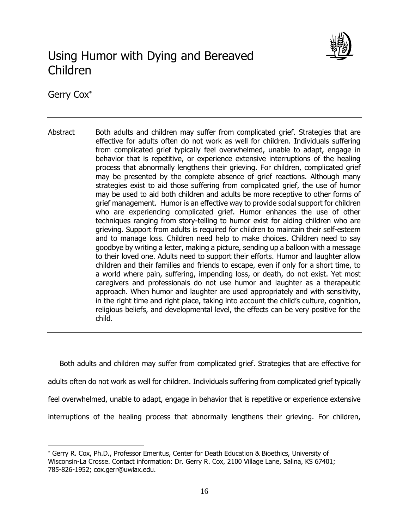

# Using Humor with Dying and Bereaved Children

Gerry Cox

 $\overline{a}$ 

Abstract Both adults and children may suffer from complicated grief. Strategies that are effective for adults often do not work as well for children. Individuals suffering from complicated grief typically feel overwhelmed, unable to adapt, engage in behavior that is repetitive, or experience extensive interruptions of the healing process that abnormally lengthens their grieving. For children, complicated grief may be presented by the complete absence of grief reactions. Although many strategies exist to aid those suffering from complicated grief, the use of humor may be used to aid both children and adults be more receptive to other forms of grief management. Humor is an effective way to provide social support for children who are experiencing complicated grief. Humor enhances the use of other techniques ranging from story-telling to humor exist for aiding children who are grieving. Support from adults is required for children to maintain their self-esteem and to manage loss. Children need help to make choices. Children need to say goodbye by writing a letter, making a picture, sending up a balloon with a message to their loved one. Adults need to support their efforts. Humor and laughter allow children and their families and friends to escape, even if only for a short time, to a world where pain, suffering, impending loss, or death, do not exist. Yet most caregivers and professionals do not use humor and laughter as a therapeutic approach. When humor and laughter are used appropriately and with sensitivity, in the right time and right place, taking into account the child's culture, cognition, religious beliefs, and developmental level, the effects can be very positive for the child.

 Both adults and children may suffer from complicated grief. Strategies that are effective for adults often do not work as well for children. Individuals suffering from complicated grief typically feel overwhelmed, unable to adapt, engage in behavior that is repetitive or experience extensive interruptions of the healing process that abnormally lengthens their grieving. For children,

Gerry R. Cox, Ph.D., Professor Emeritus, Center for Death Education & Bioethics, University of Wisconsin-La Crosse. Contact information: Dr. Gerry R. Cox, 2100 Village Lane, Salina, KS 67401; 785-826-1952; cox.gerr@uwlax.edu.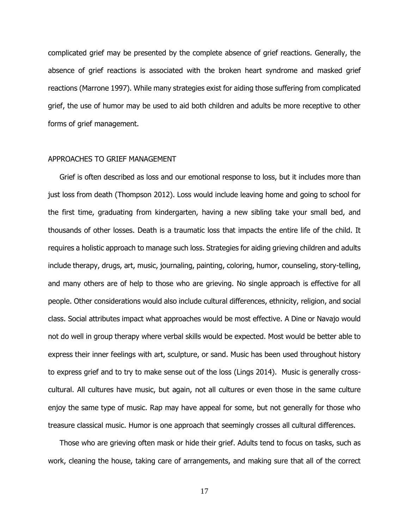complicated grief may be presented by the complete absence of grief reactions. Generally, the absence of grief reactions is associated with the broken heart syndrome and masked grief reactions (Marrone 1997). While many strategies exist for aiding those suffering from complicated grief, the use of humor may be used to aid both children and adults be more receptive to other forms of grief management.

#### APPROACHES TO GRIEF MANAGEMENT

 Grief is often described as loss and our emotional response to loss, but it includes more than just loss from death (Thompson 2012). Loss would include leaving home and going to school for the first time, graduating from kindergarten, having a new sibling take your small bed, and thousands of other losses. Death is a traumatic loss that impacts the entire life of the child. It requires a holistic approach to manage such loss. Strategies for aiding grieving children and adults include therapy, drugs, art, music, journaling, painting, coloring, humor, counseling, story-telling, and many others are of help to those who are grieving. No single approach is effective for all people. Other considerations would also include cultural differences, ethnicity, religion, and social class. Social attributes impact what approaches would be most effective. A Dine or Navajo would not do well in group therapy where verbal skills would be expected. Most would be better able to express their inner feelings with art, sculpture, or sand. Music has been used throughout history to express grief and to try to make sense out of the loss (Lings 2014). Music is generally crosscultural. All cultures have music, but again, not all cultures or even those in the same culture enjoy the same type of music. Rap may have appeal for some, but not generally for those who treasure classical music. Humor is one approach that seemingly crosses all cultural differences.

 Those who are grieving often mask or hide their grief. Adults tend to focus on tasks, such as work, cleaning the house, taking care of arrangements, and making sure that all of the correct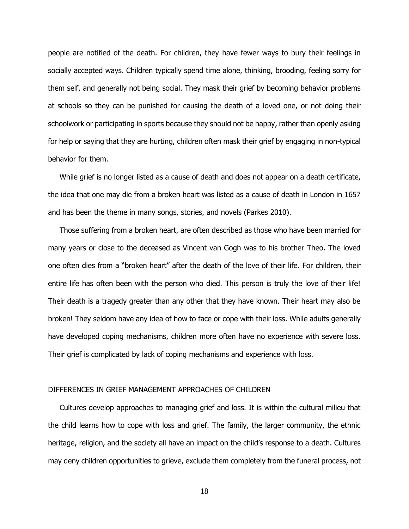people are notified of the death. For children, they have fewer ways to bury their feelings in socially accepted ways. Children typically spend time alone, thinking, brooding, feeling sorry for them self, and generally not being social. They mask their grief by becoming behavior problems at schools so they can be punished for causing the death of a loved one, or not doing their schoolwork or participating in sports because they should not be happy, rather than openly asking for help or saying that they are hurting, children often mask their grief by engaging in non-typical behavior for them.

 While grief is no longer listed as a cause of death and does not appear on a death certificate, the idea that one may die from a broken heart was listed as a cause of death in London in 1657 and has been the theme in many songs, stories, and novels (Parkes 2010).

 Those suffering from a broken heart, are often described as those who have been married for many years or close to the deceased as Vincent van Gogh was to his brother Theo. The loved one often dies from a "broken heart" after the death of the love of their life. For children, their entire life has often been with the person who died. This person is truly the love of their life! Their death is a tragedy greater than any other that they have known. Their heart may also be broken! They seldom have any idea of how to face or cope with their loss. While adults generally have developed coping mechanisms, children more often have no experience with severe loss. Their grief is complicated by lack of coping mechanisms and experience with loss.

## DIFFERENCES IN GRIEF MANAGEMENT APPROACHES OF CHILDREN

 Cultures develop approaches to managing grief and loss. It is within the cultural milieu that the child learns how to cope with loss and grief. The family, the larger community, the ethnic heritage, religion, and the society all have an impact on the child's response to a death. Cultures may deny children opportunities to grieve, exclude them completely from the funeral process, not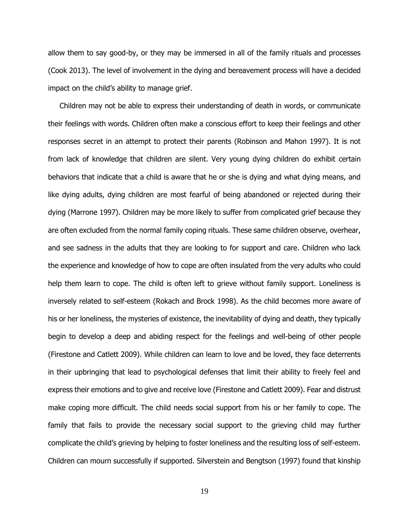allow them to say good-by, or they may be immersed in all of the family rituals and processes (Cook 2013). The level of involvement in the dying and bereavement process will have a decided impact on the child's ability to manage grief.

 Children may not be able to express their understanding of death in words, or communicate their feelings with words. Children often make a conscious effort to keep their feelings and other responses secret in an attempt to protect their parents (Robinson and Mahon 1997). It is not from lack of knowledge that children are silent. Very young dying children do exhibit certain behaviors that indicate that a child is aware that he or she is dying and what dying means, and like dying adults, dying children are most fearful of being abandoned or rejected during their dying (Marrone 1997). Children may be more likely to suffer from complicated grief because they are often excluded from the normal family coping rituals. These same children observe, overhear, and see sadness in the adults that they are looking to for support and care. Children who lack the experience and knowledge of how to cope are often insulated from the very adults who could help them learn to cope. The child is often left to grieve without family support. Loneliness is inversely related to self-esteem (Rokach and Brock 1998). As the child becomes more aware of his or her loneliness, the mysteries of existence, the inevitability of dying and death, they typically begin to develop a deep and abiding respect for the feelings and well-being of other people (Firestone and Catlett 2009). While children can learn to love and be loved, they face deterrents in their upbringing that lead to psychological defenses that limit their ability to freely feel and express their emotions and to give and receive love (Firestone and Catlett 2009). Fear and distrust make coping more difficult. The child needs social support from his or her family to cope. The family that fails to provide the necessary social support to the grieving child may further complicate the child's grieving by helping to foster loneliness and the resulting loss of self-esteem. Children can mourn successfully if supported. Silverstein and Bengtson (1997) found that kinship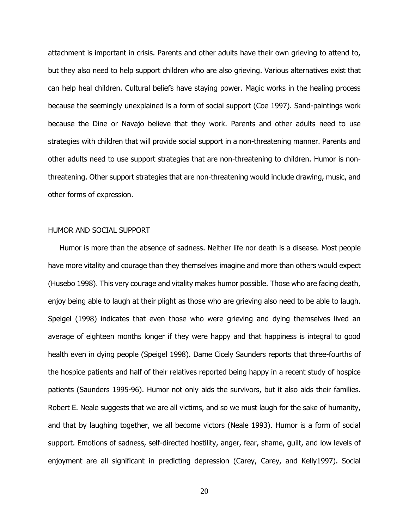attachment is important in crisis. Parents and other adults have their own grieving to attend to, but they also need to help support children who are also grieving. Various alternatives exist that can help heal children. Cultural beliefs have staying power. Magic works in the healing process because the seemingly unexplained is a form of social support (Coe 1997). Sand-paintings work because the Dine or Navajo believe that they work. Parents and other adults need to use strategies with children that will provide social support in a non-threatening manner. Parents and other adults need to use support strategies that are non-threatening to children. Humor is nonthreatening. Other support strategies that are non-threatening would include drawing, music, and other forms of expression.

## HUMOR AND SOCIAL SUPPORT

 Humor is more than the absence of sadness. Neither life nor death is a disease. Most people have more vitality and courage than they themselves imagine and more than others would expect (Husebo 1998). This very courage and vitality makes humor possible. Those who are facing death, enjoy being able to laugh at their plight as those who are grieving also need to be able to laugh. Speigel (1998) indicates that even those who were grieving and dying themselves lived an average of eighteen months longer if they were happy and that happiness is integral to good health even in dying people (Speigel 1998). Dame Cicely Saunders reports that three-fourths of the hospice patients and half of their relatives reported being happy in a recent study of hospice patients (Saunders 1995-96). Humor not only aids the survivors, but it also aids their families. Robert E. Neale suggests that we are all victims, and so we must laugh for the sake of humanity, and that by laughing together, we all become victors (Neale 1993). Humor is a form of social support. Emotions of sadness, self-directed hostility, anger, fear, shame, guilt, and low levels of enjoyment are all significant in predicting depression (Carey, Carey, and Kelly1997). Social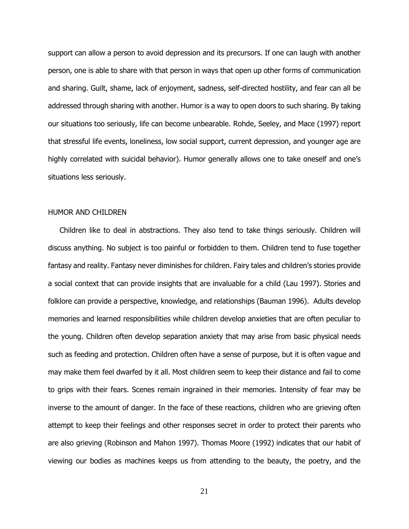support can allow a person to avoid depression and its precursors. If one can laugh with another person, one is able to share with that person in ways that open up other forms of communication and sharing. Guilt, shame, lack of enjoyment, sadness, self-directed hostility, and fear can all be addressed through sharing with another. Humor is a way to open doors to such sharing. By taking our situations too seriously, life can become unbearable. Rohde, Seeley, and Mace (1997) report that stressful life events, loneliness, low social support, current depression, and younger age are highly correlated with suicidal behavior). Humor generally allows one to take oneself and one's situations less seriously.

## HUMOR AND CHILDREN

 Children like to deal in abstractions. They also tend to take things seriously. Children will discuss anything. No subject is too painful or forbidden to them. Children tend to fuse together fantasy and reality. Fantasy never diminishes for children. Fairy tales and children's stories provide a social context that can provide insights that are invaluable for a child (Lau 1997). Stories and folklore can provide a perspective, knowledge, and relationships (Bauman 1996). Adults develop memories and learned responsibilities while children develop anxieties that are often peculiar to the young. Children often develop separation anxiety that may arise from basic physical needs such as feeding and protection. Children often have a sense of purpose, but it is often vague and may make them feel dwarfed by it all. Most children seem to keep their distance and fail to come to grips with their fears. Scenes remain ingrained in their memories. Intensity of fear may be inverse to the amount of danger. In the face of these reactions, children who are grieving often attempt to keep their feelings and other responses secret in order to protect their parents who are also grieving (Robinson and Mahon 1997). Thomas Moore (1992) indicates that our habit of viewing our bodies as machines keeps us from attending to the beauty, the poetry, and the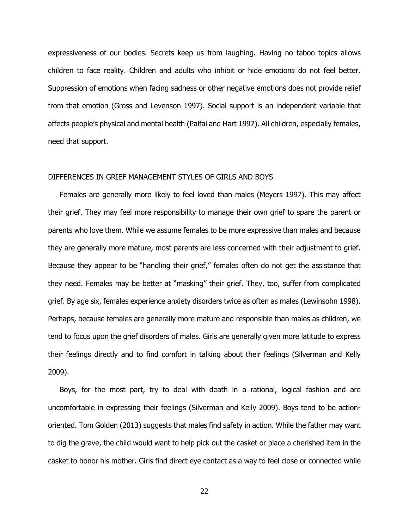expressiveness of our bodies. Secrets keep us from laughing. Having no taboo topics allows children to face reality. Children and adults who inhibit or hide emotions do not feel better. Suppression of emotions when facing sadness or other negative emotions does not provide relief from that emotion (Gross and Levenson 1997). Social support is an independent variable that affects people's physical and mental health (Palfai and Hart 1997). All children, especially females, need that support.

## DIFFERENCES IN GRIEF MANAGEMENT STYLES OF GIRLS AND BOYS

 Females are generally more likely to feel loved than males (Meyers 1997). This may affect their grief. They may feel more responsibility to manage their own grief to spare the parent or parents who love them. While we assume females to be more expressive than males and because they are generally more mature, most parents are less concerned with their adjustment to grief. Because they appear to be "handling their grief," females often do not get the assistance that they need. Females may be better at "masking" their grief. They, too, suffer from complicated grief. By age six, females experience anxiety disorders twice as often as males (Lewinsohn 1998). Perhaps, because females are generally more mature and responsible than males as children, we tend to focus upon the grief disorders of males. Girls are generally given more latitude to express their feelings directly and to find comfort in talking about their feelings (Silverman and Kelly 2009).

 Boys, for the most part, try to deal with death in a rational, logical fashion and are uncomfortable in expressing their feelings (Silverman and Kelly 2009). Boys tend to be actionoriented. Tom Golden (2013) suggests that males find safety in action. While the father may want to dig the grave, the child would want to help pick out the casket or place a cherished item in the casket to honor his mother. Girls find direct eye contact as a way to feel close or connected while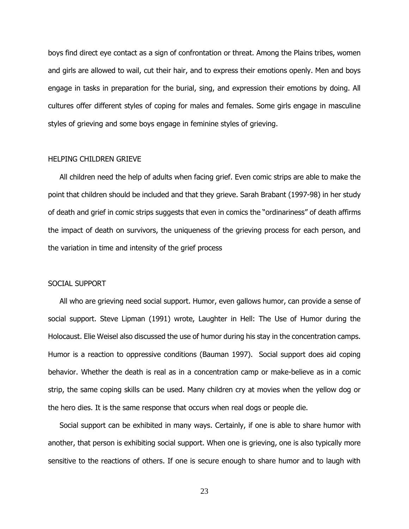boys find direct eye contact as a sign of confrontation or threat. Among the Plains tribes, women and girls are allowed to wail, cut their hair, and to express their emotions openly. Men and boys engage in tasks in preparation for the burial, sing, and expression their emotions by doing. All cultures offer different styles of coping for males and females. Some girls engage in masculine styles of grieving and some boys engage in feminine styles of grieving.

### HELPING CHILDREN GRIEVE

 All children need the help of adults when facing grief. Even comic strips are able to make the point that children should be included and that they grieve. Sarah Brabant (1997-98) in her study of death and grief in comic strips suggests that even in comics the "ordinariness" of death affirms the impact of death on survivors, the uniqueness of the grieving process for each person, and the variation in time and intensity of the grief process

#### SOCIAL SUPPORT

 All who are grieving need social support. Humor, even gallows humor, can provide a sense of social support. Steve Lipman (1991) wrote, Laughter in Hell: The Use of Humor during the Holocaust. Elie Weisel also discussed the use of humor during his stay in the concentration camps. Humor is a reaction to oppressive conditions (Bauman 1997). Social support does aid coping behavior. Whether the death is real as in a concentration camp or make-believe as in a comic strip, the same coping skills can be used. Many children cry at movies when the yellow dog or the hero dies. It is the same response that occurs when real dogs or people die.

 Social support can be exhibited in many ways. Certainly, if one is able to share humor with another, that person is exhibiting social support. When one is grieving, one is also typically more sensitive to the reactions of others. If one is secure enough to share humor and to laugh with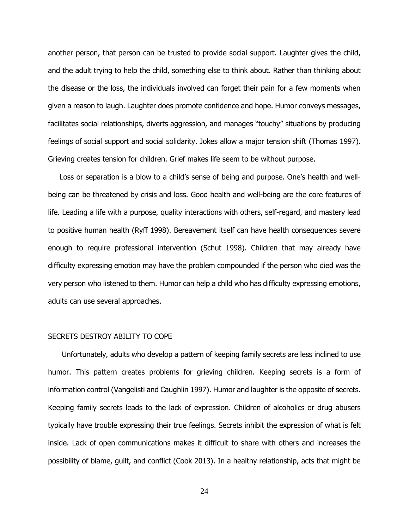another person, that person can be trusted to provide social support. Laughter gives the child, and the adult trying to help the child, something else to think about. Rather than thinking about the disease or the loss, the individuals involved can forget their pain for a few moments when given a reason to laugh. Laughter does promote confidence and hope. Humor conveys messages, facilitates social relationships, diverts aggression, and manages "touchy" situations by producing feelings of social support and social solidarity. Jokes allow a major tension shift (Thomas 1997). Grieving creates tension for children. Grief makes life seem to be without purpose.

 Loss or separation is a blow to a child's sense of being and purpose. One's health and wellbeing can be threatened by crisis and loss. Good health and well-being are the core features of life. Leading a life with a purpose, quality interactions with others, self-regard, and mastery lead to positive human health (Ryff 1998). Bereavement itself can have health consequences severe enough to require professional intervention (Schut 1998). Children that may already have difficulty expressing emotion may have the problem compounded if the person who died was the very person who listened to them. Humor can help a child who has difficulty expressing emotions, adults can use several approaches.

#### SECRETS DESTROY ABILITY TO COPE

 Unfortunately, adults who develop a pattern of keeping family secrets are less inclined to use humor. This pattern creates problems for grieving children. Keeping secrets is a form of information control (Vangelisti and Caughlin 1997). Humor and laughter is the opposite of secrets. Keeping family secrets leads to the lack of expression. Children of alcoholics or drug abusers typically have trouble expressing their true feelings. Secrets inhibit the expression of what is felt inside. Lack of open communications makes it difficult to share with others and increases the possibility of blame, guilt, and conflict (Cook 2013). In a healthy relationship, acts that might be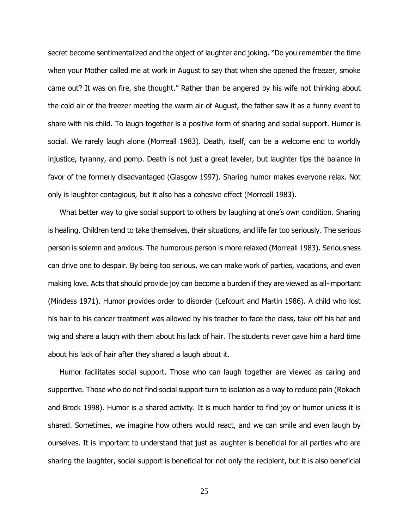secret become sentimentalized and the object of laughter and joking. "Do you remember the time when your Mother called me at work in August to say that when she opened the freezer, smoke came out? It was on fire, she thought." Rather than be angered by his wife not thinking about the cold air of the freezer meeting the warm air of August, the father saw it as a funny event to share with his child. To laugh together is a positive form of sharing and social support. Humor is social. We rarely laugh alone (Morreall 1983). Death, itself, can be a welcome end to worldly injustice, tyranny, and pomp. Death is not just a great leveler, but laughter tips the balance in favor of the formerly disadvantaged (Glasgow 1997). Sharing humor makes everyone relax. Not only is laughter contagious, but it also has a cohesive effect (Morreall 1983).

 What better way to give social support to others by laughing at one's own condition. Sharing is healing. Children tend to take themselves, their situations, and life far too seriously. The serious person is solemn and anxious. The humorous person is more relaxed (Morreall 1983). Seriousness can drive one to despair. By being too serious, we can make work of parties, vacations, and even making love. Acts that should provide joy can become a burden if they are viewed as all-important (Mindess 1971). Humor provides order to disorder (Lefcourt and Martin 1986). A child who lost his hair to his cancer treatment was allowed by his teacher to face the class, take off his hat and wig and share a laugh with them about his lack of hair. The students never gave him a hard time about his lack of hair after they shared a laugh about it.

 Humor facilitates social support. Those who can laugh together are viewed as caring and supportive. Those who do not find social support turn to isolation as a way to reduce pain (Rokach and Brock 1998). Humor is a shared activity. It is much harder to find joy or humor unless it is shared. Sometimes, we imagine how others would react, and we can smile and even laugh by ourselves. It is important to understand that just as laughter is beneficial for all parties who are sharing the laughter, social support is beneficial for not only the recipient, but it is also beneficial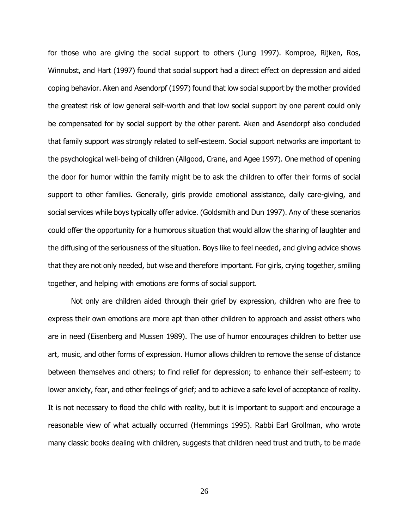for those who are giving the social support to others (Jung 1997). Komproe, Rijken, Ros, Winnubst, and Hart (1997) found that social support had a direct effect on depression and aided coping behavior. Aken and Asendorpf (1997) found that low social support by the mother provided the greatest risk of low general self-worth and that low social support by one parent could only be compensated for by social support by the other parent. Aken and Asendorpf also concluded that family support was strongly related to self-esteem. Social support networks are important to the psychological well-being of children (Allgood, Crane, and Agee 1997). One method of opening the door for humor within the family might be to ask the children to offer their forms of social support to other families. Generally, girls provide emotional assistance, daily care-giving, and social services while boys typically offer advice. (Goldsmith and Dun 1997). Any of these scenarios could offer the opportunity for a humorous situation that would allow the sharing of laughter and the diffusing of the seriousness of the situation. Boys like to feel needed, and giving advice shows that they are not only needed, but wise and therefore important. For girls, crying together, smiling together, and helping with emotions are forms of social support.

 Not only are children aided through their grief by expression, children who are free to express their own emotions are more apt than other children to approach and assist others who are in need (Eisenberg and Mussen 1989). The use of humor encourages children to better use art, music, and other forms of expression. Humor allows children to remove the sense of distance between themselves and others; to find relief for depression; to enhance their self-esteem; to lower anxiety, fear, and other feelings of grief; and to achieve a safe level of acceptance of reality. It is not necessary to flood the child with reality, but it is important to support and encourage a reasonable view of what actually occurred (Hemmings 1995). Rabbi Earl Grollman, who wrote many classic books dealing with children, suggests that children need trust and truth, to be made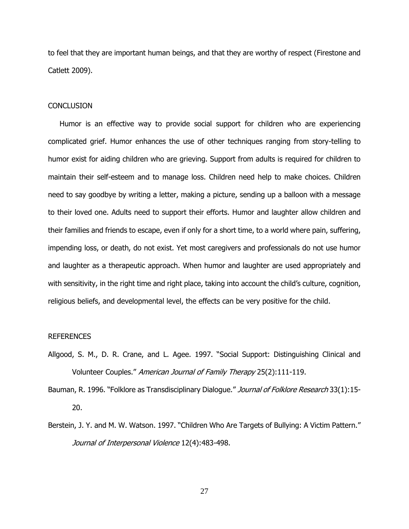to feel that they are important human beings, and that they are worthy of respect (Firestone and Catlett 2009).

#### **CONCLUSION**

 Humor is an effective way to provide social support for children who are experiencing complicated grief. Humor enhances the use of other techniques ranging from story-telling to humor exist for aiding children who are grieving. Support from adults is required for children to maintain their self-esteem and to manage loss. Children need help to make choices. Children need to say goodbye by writing a letter, making a picture, sending up a balloon with a message to their loved one. Adults need to support their efforts. Humor and laughter allow children and their families and friends to escape, even if only for a short time, to a world where pain, suffering, impending loss, or death, do not exist. Yet most caregivers and professionals do not use humor and laughter as a therapeutic approach. When humor and laughter are used appropriately and with sensitivity, in the right time and right place, taking into account the child's culture, cognition, religious beliefs, and developmental level, the effects can be very positive for the child.

#### REFERENCES

Allgood, S. M., D. R. Crane, and L. Agee. 1997. "Social Support: Distinguishing Clinical and Volunteer Couples." American Journal of Family Therapy 25(2):111-119.

Bauman, R. 1996. "Folklore as Transdisciplinary Dialogue." Journal of Folklore Research 33(1):15-20.

Berstein, J. Y. and M. W. Watson. 1997. "Children Who Are Targets of Bullying: A Victim Pattern." Journal of Interpersonal Violence 12(4):483-498.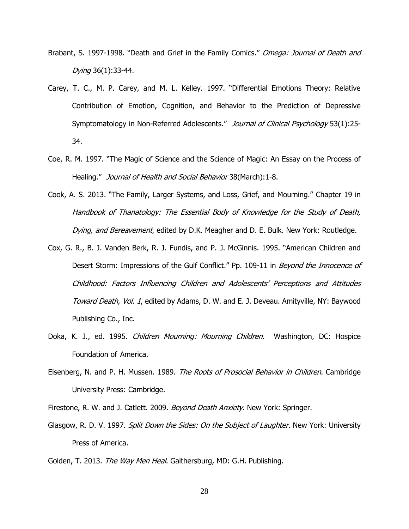- Brabant, S. 1997-1998. "Death and Grief in the Family Comics." Omega: Journal of Death and Dying 36(1):33-44.
- Carey, T. C., M. P. Carey, and M. L. Kelley. 1997. "Differential Emotions Theory: Relative Contribution of Emotion, Cognition, and Behavior to the Prediction of Depressive Symptomatology in Non-Referred Adolescents." Journal of Clinical Psychology 53(1):25-34.
- Coe, R. M. 1997. "The Magic of Science and the Science of Magic: An Essay on the Process of Healing." Journal of Health and Social Behavior 38 (March): 1-8.
- Cook, A. S. 2013. "The Family, Larger Systems, and Loss, Grief, and Mourning." Chapter 19 in Handbook of Thanatology: The Essential Body of Knowledge for the Study of Death, Dying, and Bereavement, edited by D.K. Meagher and D. E. Bulk. New York: Routledge.
- Cox, G. R., B. J. Vanden Berk, R. J. Fundis, and P. J. McGinnis. 1995. "American Children and Desert Storm: Impressions of the Gulf Conflict." Pp. 109-11 in Beyond the Innocence of Childhood: Factors Influencing Children and Adolescents' Perceptions and Attitudes Toward Death, Vol. 1, edited by Adams, D. W. and E. J. Deveau. Amityville, NY: Baywood Publishing Co., Inc.
- Doka, K. J., ed. 1995. Children Mourning: Mourning Children. Washington, DC: Hospice Foundation of America.
- Eisenberg, N. and P. H. Mussen. 1989. The Roots of Prosocial Behavior in Children. Cambridge University Press: Cambridge.

Firestone, R. W. and J. Catlett. 2009. Beyond Death Anxiety. New York: Springer.

Glasgow, R. D. V. 1997. Split Down the Sides: On the Subject of Laughter. New York: University Press of America.

Golden, T. 2013. The Way Men Heal. Gaithersburg, MD: G.H. Publishing.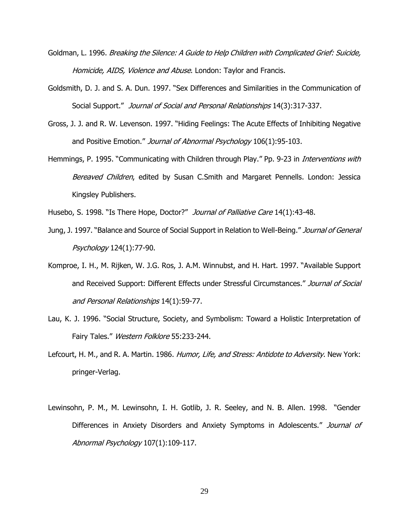- Goldman, L. 1996. Breaking the Silence: A Guide to Help Children with Complicated Grief: Suicide, Homicide, AIDS, Violence and Abuse. London: Taylor and Francis.
- Goldsmith, D. J. and S. A. Dun. 1997. "Sex Differences and Similarities in the Communication of Social Support." Journal of Social and Personal Relationships 14(3):317-337.
- Gross, J. J. and R. W. Levenson. 1997. "Hiding Feelings: The Acute Effects of Inhibiting Negative and Positive Emotion." Journal of Abnormal Psychology 106(1):95-103.
- Hemmings, P. 1995. "Communicating with Children through Play." Pp. 9-23 in *Interventions with* Bereaved Children, edited by Susan C.Smith and Margaret Pennells. London: Jessica Kingsley Publishers.

Husebo, S. 1998. "Is There Hope, Doctor?" Journal of Palliative Care 14(1):43-48.

- Jung, J. 1997. "Balance and Source of Social Support in Relation to Well-Being." Journal of General Psychology 124(1):77-90.
- Komproe, I. H., M. Rijken, W. J.G. Ros, J. A.M. Winnubst, and H. Hart. 1997. "Available Support and Received Support: Different Effects under Stressful Circumstances." Journal of Social and Personal Relationships 14(1):59-77.
- Lau, K. J. 1996. "Social Structure, Society, and Symbolism: Toward a Holistic Interpretation of Fairy Tales." Western Folklore 55:233-244.
- Lefcourt, H. M., and R. A. Martin. 1986. Humor, Life, and Stress: Antidote to Adversity. New York: pringer-Verlag.
- Lewinsohn, P. M., M. Lewinsohn, I. H. Gotlib, J. R. Seeley, and N. B. Allen. 1998. "Gender Differences in Anxiety Disorders and Anxiety Symptoms in Adolescents." Journal of Abnormal Psychology 107(1):109-117.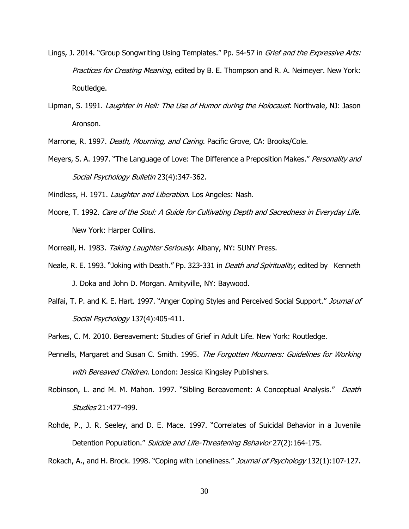- Lings, J. 2014. "Group Songwriting Using Templates." Pp. 54-57 in *Grief and the Expressive Arts:* Practices for Creating Meaning, edited by B. E. Thompson and R. A. Neimeyer. New York: Routledge.
- Lipman, S. 1991. Laughter in Hell: The Use of Humor during the Holocaust. Northvale, NJ: Jason Aronson.

Marrone, R. 1997. Death, Mourning, and Caring. Pacific Grove, CA: Brooks/Cole.

Meyers, S. A. 1997. "The Language of Love: The Difference a Preposition Makes." Personality and Social Psychology Bulletin 23(4):347-362.

Mindless, H. 1971. Laughter and Liberation. Los Angeles: Nash.

- Moore, T. 1992. Care of the Soul: A Guide for Cultivating Depth and Sacredness in Everyday Life. New York: Harper Collins.
- Morreall, H. 1983. Taking Laughter Seriously. Albany, NY: SUNY Press.
- Neale, R. E. 1993. "Joking with Death." Pp. 323-331 in *Death and Spirituality*, edited by Kenneth J. Doka and John D. Morgan. Amityville, NY: Baywood.
- Palfai, T. P. and K. E. Hart. 1997. "Anger Coping Styles and Perceived Social Support." Journal of Social Psychology 137(4):405-411.
- Parkes, C. M. 2010. Bereavement: Studies of Grief in Adult Life. New York: Routledge.
- Pennells, Margaret and Susan C. Smith. 1995. The Forgotten Mourners: Guidelines for Working with Bereaved Children. London: Jessica Kingsley Publishers.
- Robinson, L. and M. M. Mahon. 1997. "Sibling Bereavement: A Conceptual Analysis." Death Studies 21:477-499.
- Rohde, P., J. R. Seeley, and D. E. Mace. 1997. "Correlates of Suicidal Behavior in a Juvenile Detention Population." Suicide and Life-Threatening Behavior 27(2):164-175.

Rokach, A., and H. Brock. 1998. "Coping with Loneliness." Journal of Psychology 132(1):107-127.